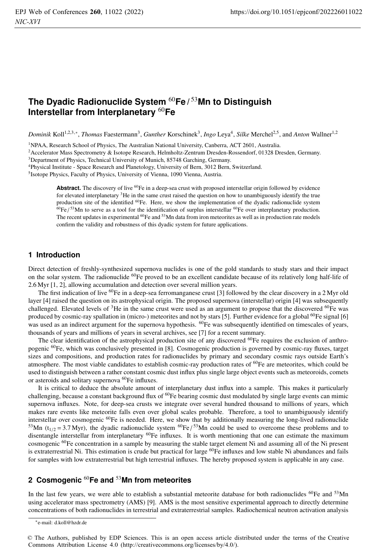# **The Dyadic Radionuclide System** <sup>60</sup>**Fe /** <sup>53</sup>**Mn to Distinguish Interstellar from Interplanetary** <sup>60</sup>**Fe**

*Dominik* Koll<sup>1,2,3,∗</sup>, *Thomas* Faestermann<sup>3</sup>, *Gunther* Korschinek<sup>3</sup>, *Ingo* Leya<sup>4</sup>, *Silke* Merchel<sup>2,5</sup>, and *Anton* Wallner<sup>1,2</sup>

1NPAA, Research School of Physics, The Australian National University, Canberra, ACT 2601, Australia.

<sup>2</sup> Accelerator Mass Spectrometry & Isotope Research, Helmholtz-Zentrum Dresden-Rossendorf, 01328 Dresden, Germany.

3Department of Physics, Technical University of Munich, 85748 Garching, Germany.

4Physical Institute - Space Research and Planetology, University of Bern, 3012 Bern, Switzerland.

5Isotope Physics, Faculty of Physics, University of Vienna, 1090 Vienna, Austria.

**Abstract.** The discovery of live <sup>60</sup>Fe in a deep-sea crust with proposed interstellar origin followed by evidence for elevated interplanetary  ${}^{3}$ He in the same crust raised the question on how to unambiguously identify the true production site of the identified <sup>60</sup>Fe. Here, we show the implementation of the dyadic radionuclide system  $^{60}Fe/^{53}Mn$  to serve as a tool for the identification of surplus interstellar  $^{60}Fe$  over interplanetary production. The recent updates in experimental <sup>60</sup>Fe and <sup>53</sup>Mn data from iron meteorites as well as in production rate models confirm the validity and robustness of this dyadic system for future applications.

# **1 Introduction**

Direct detection of freshly-synthesized supernova nuclides is one of the gold standards to study stars and their impact on the solar system. The radionuclide <sup>60</sup>Fe proved to be an excellent candidate because of its relatively long half-life of 2.6 Myr [1, 2], allowing accumulation and detection over several million years.

The first indication of live <sup>60</sup>Fe in a deep-sea ferromanganese crust [3] followed by the clear discovery in a 2 Myr old layer [4] raised the question on its astrophysical origin. The proposed supernova (interstellar) origin [4] was subsequently challenged. Elevated levels of  ${}^{3}$ He in the same crust were used as an argument to propose that the discovered  ${}^{60}$ Fe was produced by cosmic-ray spallation in (micro-) meteorites and not by stars [5]. Further evidence for a global  $^{60}$ Fe signal [6] was used as an indirect argument for the supernova hypothesis. <sup>60</sup>Fe was subsequently identified on timescales of years, thousands of years and millions of years in several archives, see [7] for a recent summary.

The clear identification of the astrophysical production site of any discovered  $^{60}$ Fe requires the exclusion of anthropogenic 60Fe, which was conclusively presented in [8]. Cosmogenic production is governed by cosmic-ray fluxes, target sizes and compositions, and production rates for radionuclides by primary and secondary cosmic rays outside Earth's atmosphere. The most viable candidates to establish cosmic-ray production rates of <sup>60</sup>Fe are meteorites, which could be used to distinguish between a rather constant cosmic dust influx plus single large object events such as meteoroids, comets or asteroids and solitary supernova 60Fe influxes.

It is critical to deduce the absolute amount of interplanetary dust influx into a sample. This makes it particularly challenging, because a constant background flux of  $^{60}Fe$  bearing cosmic dust modulated by single large events can mimic supernova influxes. Note, for deep-sea crusts we integrate over several hundred thousand to millions of years, which makes rare events like meteorite falls even over global scales probable. Therefore, a tool to unambiguously identify interstellar over cosmogenic  $^{60}$ Fe is needed. Here, we show that by additionally measuring the long-lived radionuclide <sup>53</sup>Mn (t<sub>1/2</sub> = 3.7 Myr), the dyadic radionuclide system <sup>60</sup>Fe/<sup>53</sup>Mn could be used to overcome these problems and to disentangle interstellar from interplanetary <sup>60</sup>Fe influxes. It is worth mentioning that one can estimate the maximum cosmogenic <sup>60</sup>Fe concentration in a sample by measuring the stable target element Ni and assuming all of the Ni present is extraterrestrial Ni. This estimation is crude but practical for large <sup>60</sup>Fe influxes and low stable Ni abundances and fails for samples with low extraterrestrial but high terrestrial influxes. The hereby proposed system is applicable in any case.

## **2 Cosmogenic** <sup>60</sup>**Fe and** <sup>53</sup>**Mn from meteorites**

In the last few years, we were able to establish a substantial meteorite database for both radionuclides  ${}^{60}Fe$  and  ${}^{53}$ Mn using accelerator mass spectrometry (AMS) [9]. AMS is the most sensitive experimental approach to directly determine concentrations of both radionuclides in terrestrial and extraterrestrial samples. Radiochemical neutron activation analysis

<sup>∗</sup>e-mail: d.koll@hzdr.de

<sup>©</sup> The Authors, published by EDP Sciences. This is an open access article distributed under the terms of the Creative Commons Attribution License 4.0 (http://creativecommons.org/licenses/by/4.0/).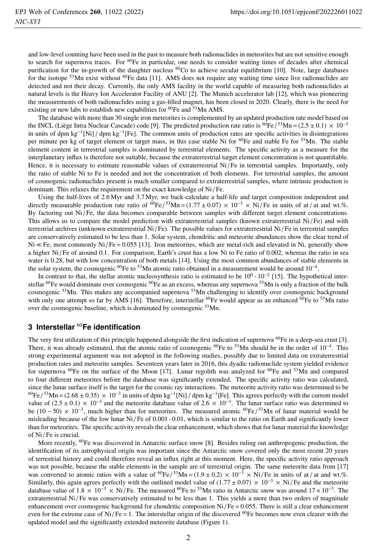and low-level counting have been used in the past to measure both radionuclides in meteorites but are not sensitive enough to search for supernova traces. For  ${}^{60}Fe$  in particular, one needs to consider waiting times of decades after chemical purification for the in-growth of the daughter nucleus  $^{60}$ Co to achieve secular equilibrium [10]. Note, large databases for the isotope <sup>53</sup>Mn exist without <sup>60</sup>Fe data [11]. AMS does not require any waiting time since live radionuclides are detected and not their decay. Currently, the only AMS facility in the world capable of measuring both radionuclides at natural levels is the Heavy Ion Accelerator Facility of ANU [2]. The Munich accelerator lab [12], which was pioneering the measurements of both radionuclides using a gas-filled magnet, has been closed in 2020. Clearly, there is the need for existing or new labs to establish new capabilities for  ${}^{60}Fe$  and  ${}^{53}Mn$  AMS.

The database with more than 30 single iron meteorites is complemented by an updated production rate model based on the INCL (Liège Intra Nuclear Cascade) code [9]. The predicted production rate ratio is  ${}^{60}Fe/{}^{53}Mn = (2.5 \pm 0.1) \times 10^{-3}$ in units of dpm kg<sup>-1</sup>[Ni] / dpm kg<sup>-1</sup>[Fe]. The common units of production rates are specific activities in disintegrations per minute per kg of target element or target mass, in this case stable Ni for  ${}^{60}$ Fe and stable Fe for  ${}^{53}$ Mn. The stable element content in terrestrial samples is dominated by terrestrial elements. The specific activity as a measure for the interplanetary influx is therefore not suitable, because the extraterrestrial target element concentration is not quantifiable. Hence, it is necessary to estimate reasonable values of extraterrestrial Ni/Fe in terrestrial samples. Importantly, only the ratio of stable Ni to Fe is needed and not the concentration of both elements. For terrestrial samples, the amount of cosmogenic radionuclides present is much smaller compared to extraterrestrial samples, where intrinsic production is dominant. This relaxes the requirement on the exact knowledge of Ni / Fe.

Using the half-lives of 2.6 Myr and 3.7 Myr, we back-calculate a half-life and target composition independent and directly measurable production rate ratio of  ${}^{60}Fe / {}^{53}Mn = (1.77 \pm 0.07) \times 10^{-3} \times Ni / Fe$  in units of at / at and wt.%. By factoring out Ni / Fe, the data becomes comparable between samples with different target element concentrations. This allows us to compare the model prediction with extraterrestrial samples (known extraterrestrial  $Ni/Fe$ ) and with terrestrial archives (unknown extraterrestrial Ni / Fe). The possible values for extraterrestrial Ni / Fe in terrestrial samples are conservatively estimated to be less than 1. Solar system, chondritic and meteorite abundances show the clear trend of  $Ni \ll Fe$ , most commonly  $Ni/Fe = 0.055$  [13]. Iron meteorites, which are metal-rich and elevated in Ni, generally show a higher Ni / Fe of around 0.1. For comparison, Earth's crust has a low Ni to Fe ratio of 0.002, whereas the ratio in sea water is 0.28, but with low concentration of both metals [14]. Using the most common abundances of stable elements in the solar system, the cosmogenic <sup>60</sup>Fe to <sup>53</sup>Mn atomic ratio obtained in a measurement would be around  $10^{-4}$ .

In contrast to that, the stellar atomic nucleosynthesis ratio is estimated to be  $10^0 \text{ - } 10^{-2}$  [15]. The hypothetical interstellar <sup>60</sup>Fe would dominate over cosmogenic <sup>60</sup>Fe as an excess, whereas any supernova <sup>53</sup>Mn is only a fraction of the bulk cosmogenic 53Mn. This makes any accompanied supernova 53Mn challenging to identify over cosmogenic background with only one attempt so far by AMS [16]. Therefore, interstellar  ${}^{60}Fe$  would appear as an enhanced  ${}^{60}Fe$  to  ${}^{53}Mn$  ratio over the cosmogenic baseline, which is dominated by cosmogenic <sup>53</sup>Mn.

## **3 Interstellar** <sup>60</sup>**Fe identification**

The very first utilization of this principle happened alongside the first indication of supernova  ${}^{60}Fe$  in a deep-sea crust [3]. There, it was already estimated, that the atomic ratio of cosmogenic <sup>60</sup>Fe to <sup>53</sup>Mn should be in the order of 10<sup>-4</sup>. This strong experimental argument was not adopted in the following studies, possibly due to limited data on extraterrestrial production rates and meteorite samples. Seventeen years later in 2016, this dyadic radionuclide system yielded evidence for supernova <sup>60</sup>Fe on the surface of the Moon [17]. Lunar regolith was analyzed for <sup>60</sup>Fe and <sup>53</sup>Mn and compared to four different meteorites before the database was significantly extended. The specific activity ratio was calculated, since the lunar surface itself is the target for the cosmic ray interactions. The meteorite activity ratio was determined to be  $^{60}Fe/^{53}Mn = (2.68 \pm 0.35) \times 10^{-3}$  in units of dpm kg<sup>-1</sup>[Ni] / dpm kg<sup>-1</sup>[Fe]. This agrees perfectly with the current model value of  $(2.5 \pm 0.1) \times 10^{-3}$  and the meteorite database value of  $2.6 \times 10^{-3}$ . The lunar surface ratio was determined to be (10 − 50) × 10<sup>-3</sup>, much higher than for meteorites. The measured atomic <sup>60</sup>Fe/<sup>53</sup>Mn of lunar material would be misleading because of the low lunar Ni/Fe of 0.001 - 0.01, which is similar to the ratio on Earth and significantly lower than for meteorites. The specific activity reveals the clear enhancement, which shows that for lunar material the knowledge of Ni / Fe is crucial.

More recently, <sup>60</sup>Fe was discovered in Antarctic surface snow [8]. Besides ruling out anthropogenic production, the identification of its astrophysical origin was important since the Antarctic snow covered only the most recent 20 years of terrestrial history and could therefore reveal an influx right at this moment. Here, the specific activity ratio approach was not possible, because the stable elements in the sample are of terrestrial origin. The same meteorite data from [17] was converted to atomic ratios with a value of  ${}^{60}Fe/{}^{53}$ Mn = (1.9 ± 0.2) × 10<sup>-3</sup> × Ni/Fe in units of at/at and wt.%. Similarly, this again agrees perfectly with the outlined model value of  $(1.77 \pm 0.07) \times 10^{-3} \times Ni$  /Fe and the meteorite database value of  $1.8 \times 10^{-3} \times$  Ni/Fe. The measured <sup>60</sup>Fe to <sup>53</sup>Mn ratio in Antarctic snow was around  $17 \times 10^{-3}$ . The extraterrestrial Ni/Fe was conservatively estimated to be less than 1. This yields a more than two orders of magnitude enhancement over cosmogenic background for chondritic composition  $Ni/Fe = 0.055$ . There is still a clear enhancement even for the extreme case of Ni/Fe = 1. The interstellar origin of the discovered <sup>60</sup>Fe becomes now even clearer with the updated model and the significantly extended meteorite database (Figure 1).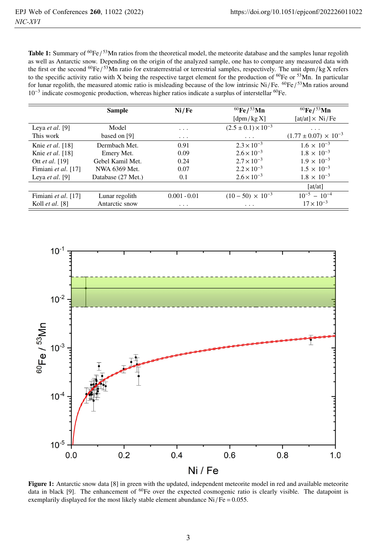**Table 1:** Summary of  ${}^{60}Fe/{}^{53}Mn$  ratios from the theoretical model, the meteorite database and the samples lunar regolith as well as Antarctic snow. Depending on the origin of the analyzed sample, one has to compare any measured data with the first or the second  ${}^{60}Fe/{}^{53}Mn$  ratio for extraterrestrial or terrestrial samples, respectively. The unit dpm/kg X refers to the specific activity ratio with X being the respective target element for the production of  ${}^{60}$ Fe or  ${}^{53}$ Mn. In particular for lunar regolith, the measured atomic ratio is misleading because of the low intrinsic Ni/Fe. <sup>60</sup>Fe/<sup>53</sup>Mn ratios around 10−<sup>3</sup> indicate cosmogenic production, whereas higher ratios indicate a surplus of interstellar 60Fe.

|                         | <b>Sample</b>      | Ni/Fe          | ${}^{60}$ Fe/ ${}^{53}$ Mn                   | ${}^{60}$ Fe/ ${}^{53}$ Mn                                 |
|-------------------------|--------------------|----------------|----------------------------------------------|------------------------------------------------------------|
|                         |                    |                | $\left[\frac{\text{dpm}}{\text{kgX}}\right]$ | $\left[ \text{at/at} \right] \times \text{Ni} / \text{Fe}$ |
| Leya <i>et al.</i> [9]  | Model              | $\cdots$       | $(2.5 \pm 0.1) \times 10^{-3}$               | $\cdots$                                                   |
| This work               | based on [9]       | $\cdots$       | $\cdots$                                     | $(1.77 \pm 0.07) \times 10^{-3}$                           |
| Knie <i>et al.</i> [18] | Dermbach Met.      | 0.91           | $2.3 \times 10^{-3}$                         | $1.6 \times 10^{-3}$                                       |
| Knie et al. [18]        | Emery Met.         | 0.09           | $2.6 \times 10^{-3}$                         | $1.8 \times 10^{-3}$                                       |
| Ott <i>et al.</i> [19]  | Gebel Kamil Met.   | 0.24           | $2.7 \times 10^{-3}$                         | $1.9 \times 10^{-3}$                                       |
| Fimiani et al. [17]     | NWA 6369 Met.      | 0.07           | $2.2 \times 10^{-3}$                         | $1.5 \times 10^{-3}$                                       |
| Leva et al. [9]         | Database (27 Met.) | 0.1            | $2.6 \times 10^{-3}$                         | $1.8 \times 10^{-3}$                                       |
|                         |                    |                |                                              | $\lceil \frac{at}{at} \rceil$                              |
| Fimiani et al. [17]     | Lunar regolith     | $0.001 - 0.01$ | $(10-50) \times 10^{-3}$                     | $10^{-5} - 10^{-4}$                                        |
| Koll <i>et al.</i> [8]  | Antarctic snow     | $\cdots$       | $\cdot$ $\cdot$ $\cdot$                      | $17 \times 10^{-3}$                                        |



Figure 1: Antarctic snow data [8] in green with the updated, independent meteorite model in red and available meteorite data in black [9]. The enhancement of <sup>60</sup>Fe over the expected cosmogenic ratio is clearly visible. The datapoint is exemplarily displayed for the most likely stable element abundance  $Ni/Fe = 0.055$ .